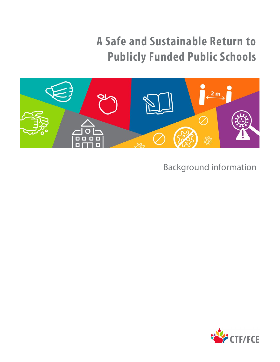# **A Safe and Sustainable Return to Publicly Funded Public Schools**



Background information

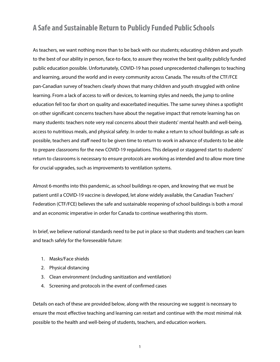## **A Safe and Sustainable Return to Publicly Funded Public Schools**

As teachers, we want nothing more than to be back with our students; educating children and youth to the best of our ability in person, face-to-face, to assure they receive the best quality publicly funded public education possible. Unfortunately, COVID-19 has posed unprecedented challenges to teaching and learning, around the world and in every community across Canada. The results of the CTF/FCE pan-Canadian survey of teachers clearly shows that many children and youth struggled with online learning. From a lack of access to wifi or devices, to learning styles and needs, the jump to online education fell too far short on quality and exacerbated inequities. The same survey shines a spotlight on other significant concerns teachers have about the negative impact that remote learning has on many students: teachers note very real concerns about their students' mental health and well-being, access to nutritious meals, and physical safety. In order to make a return to school buildings as safe as possible, teachers and staff need to be given time to return to work in advance of students to be able to prepare classrooms for the new COVID-19 regulations. This delayed or staggered start to students' return to classrooms is necessary to ensure protocols are working as intended and to allow more time for crucial upgrades, such as improvements to ventilation systems.

Almost 6-months into this pandemic, as school buildings re-open, and knowing that we must be patient until a COVID-19 vaccine is developed, let alone widely available, the Canadian Teachers' Federation (CTF/FCE) believes the safe and sustainable reopening of school buildings is both a moral and an economic imperative in order for Canada to continue weathering this storm.

In brief, we believe national standards need to be put in place so that students and teachers can learn and teach safely for the foreseeable future:

- 1. Masks/Face shields
- 2. Physical distancing
- 3. Clean environment (including sanitization and ventilation)
- 4. Screening and protocols in the event of confirmed cases

Details on each of these are provided below, along with the resourcing we suggest is necessary to ensure the most effective teaching and learning can restart and continue with the most minimal risk possible to the health and well-being of students, teachers, and education workers.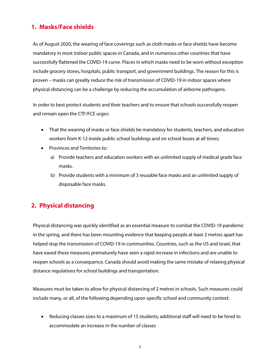#### **1. Masks/Face shields**

As of August 2020, the wearing of face coverings such as cloth masks or face shields have become mandatory in most indoor public spaces in Canada, and in numerous other countries that have successfully flattened the COVID-19 curve. Places in which masks need to be worn without exception include grocery stores, hospitals, public transport, and government buildings. The reason for this is proven – masks can greatly reduce the risk of transmission of COVID-19 in indoor spaces where physical distancing can be a challenge by reducing the accumulation of airborne pathogens.

In order to best protect students and their teachers and to ensure that schools successfully reopen and remain open the CTF/FCE urges:

- That the wearing of masks or face shields be mandatory for students, teachers, and education workers from K-12 inside public school buildings and on school buses at all times;
- Provinces and Territories to:
	- a) Provide teachers and education workers with an unlimited supply of medical grade face masks.
	- b) Provide students with a minimum of 3 reusable face masks and an unlimited supply of disposable face masks.

### **2. Physical distancing**

Physical distancing was quickly identified as an essential measure to combat the COVID-19 pandemic in the spring, and there has been mounting evidence that keeping people at least 2 metres apart has helped stop the transmission of COVID-19 in communities. Countries, such as the US and Israel, that have eased these measures prematurely have seen a rapid increase in infections and are unable to reopen schools as a consequence. Canada should avoid making the same mistake of relaxing physical distance regulations for school buildings and transportation.

Measures must be taken to allow for physical distancing of 2 metres in schools. Such measures could include many, or all, of the following depending upon specific school and community context:

• Reducing classes sizes to a maximum of 15 students; additional staff will need to be hired to accommodate an increase in the number of classes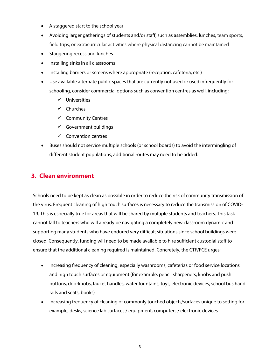- A staggered start to the school year
- Avoiding larger gatherings of students and/or staff, such as assemblies, lunches, team sports, field trips, or extracurricular activities where physical distancing cannot be maintained
- Staggering recess and lunches
- Installing sinks in all classrooms
- Installing barriers or screens where appropriate (reception, cafeteria, etc.)
- Use available alternate public spaces that are currently not used or used infrequently for schooling, consider commercial options such as convention centres as well, including:
	- $\checkmark$  Universities
	- $\checkmark$  Churches
	- $\checkmark$  Community Centres
	- $\checkmark$  Government buildings
	- $\checkmark$  Convention centres
- Buses should not service multiple schools (or school boards) to avoid the intermingling of different student populations, additional routes may need to be added.

#### **3. Clean environment**

Schools need to be kept as clean as possible in order to reduce the risk of community transmission of the virus. Frequent cleaning of high touch surfaces is necessary to reduce the transmission of COVID-19. This is especially true for areas that will be shared by multiple students and teachers. This task cannot fall to teachers who will already be navigating a completely new classroom dynamic and supporting many students who have endured very difficult situations since school buildings were closed. Consequently, funding will need to be made available to hire sufficient custodial staff to ensure that the additional cleaning required is maintained. Concretely, the CTF/FCE urges:

- Increasing frequency of cleaning, especially washrooms, cafeterias or food service locations and high touch surfaces or equipment (for example, pencil sharpeners, knobs and push buttons, doorknobs, faucet handles, water fountains, toys, electronic devices, school bus hand rails and seats, books)
- Increasing frequency of cleaning of commonly touched objects/surfaces unique to setting for example, desks, science lab surfaces / equipment, computers / electronic devices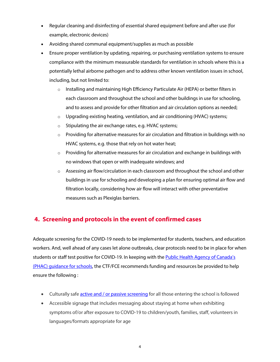- Regular cleaning and disinfecting of essential shared equipment before and after use (for example, electronic devices)
- Avoiding shared communal equipment/supplies as much as possible
- Ensure proper ventilation by updating, repairing, or purchasing ventilation systems to ensure compliance with the minimum measurable standards for ventilation in schools where this is a potentially lethal airborne pathogen and to address other known ventilation issues in school, including, but not limited to:
	- $\circ$  Installing and maintaining High Efficiency Particulate Air (HEPA) or better filters in each classroom and throughout the school and other buildings in use for schooling, and to assess and provide for other filtration and air circulation options as needed;
	- $\circ$  Upgrading existing heating, ventilation, and air conditioning (HVAC) systems;
	- o Stipulating the air exchange rates, e.g. HVAC systems;
	- o Providing for alternative measures for air circulation and filtration in buildings with no HVAC systems, e.g. those that rely on hot water heat;
	- $\circ$  Providing for alternative measures for air circulation and exchange in buildings with no windows that open or with inadequate windows; and
	- o Assessing air flow/circulation in each classroom and throughout the school and other buildings in use for schooling and developing a plan for ensuring optimal air flow and filtration locally, considering how air flow will interact with other preventative measures such as Plexiglas barriers.

### **4. Screening and protocols in the event of confirmed cases**

Adequate screening for the COVID-19 needs to be implemented for students, teachers, and education workers. And, well ahead of any cases let alone outbreaks, clear protocols need to be in place for when students or staff test positive for COVID-19. In keeping with the [Public Health Agency](https://www.canada.ca/en/public-health/services/diseases/2019-novel-coronavirus-infection/health-professionals/guidance-schools-childcare-programs.html) of Canada's [\(PHAC\) guidance for schools,](https://www.canada.ca/en/public-health/services/diseases/2019-novel-coronavirus-infection/health-professionals/guidance-schools-childcare-programs.html) the CTF/FCE recommends funding and resources be provided to help ensure the following :

- Culturally safe **active and / or passive screening** for all those entering the school is followed
- Accessible signage that includes messaging about staying at home when exhibiting symptoms of/or after exposure to COVID-19 to children/youth, families, staff, volunteers in languages/formats appropriate for age